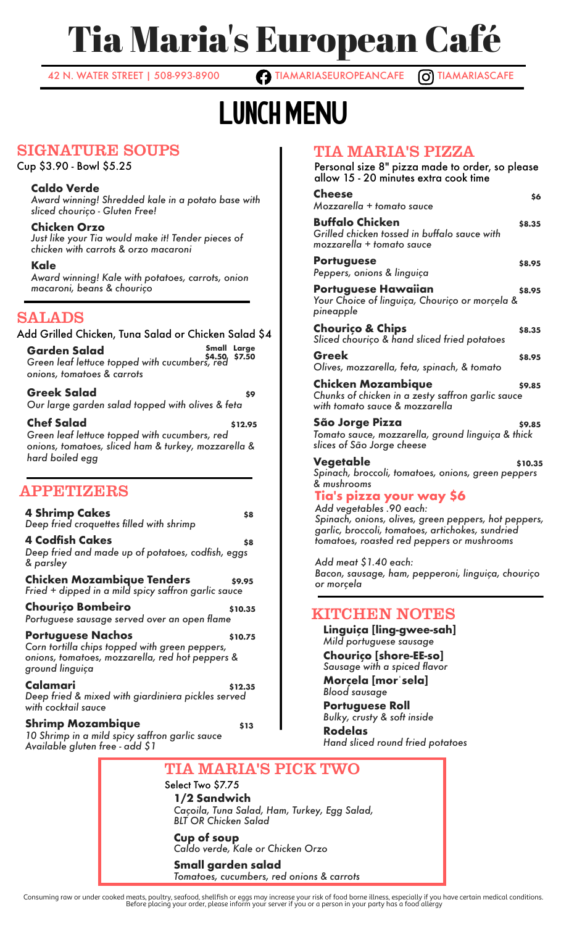# Tia Maria's European Café

42 N. WATER STREET | 508-993-8900 **TIAMARIASEUROPEANCAFE O TIAMARIASCAFE** 

# Lunch MENU

## SIGNATURE SOUPS

Cup \$3.90 - Bowl \$5.25

### **Caldo Verde**

*Award winning! Shredded kale in a potato base with sliced chouriço - Gluten Free!*

**Chicken Orzo** *Just like your Tia would make it! Tender pieces of chicken with carrots & orzo macaroni*

**Kale** *Award winning! Kale with potatoes, carrots, onion macaroni, beans & chouriço*

# SALADS

**Garden Salad Small \$4.50 Large \$7.50** *Green leaf lettuce topped with cucumbers, red onions, tomatoes & carrots* **Greek Salad \$9** Add Grilled Chicken, Tuna Salad or Chicken Salad \$4

*Our large garden salad topped with olives & feta*

**Chef Salad \$12.95** *Green leaf lettuce topped with cucumbers, red onions, tomatoes, sliced ham & turkey, mozzarella & hard boiled egg*

## APPETIZERS

**4 Shrimp Cakes 88** *Deep fried croquettes filled with shrimp* **4 Codfish Cakes \$8** *Deep fried and made up of potatoes, codfish, eggs & parsley*

**Chicken Mozambique Tenders \$9.95** *Fried + dipped in a mild spicy saffron garlic sauce*

**Chouriço Bombeiro \$10.35** *Portuguese sausage served over an open flame*

**Portuguese Nachos** \$10.75 *Corn tortilla chips topped with green peppers, onions, tomatoes, mozzarella, red hot peppers & ground linguiça*

**Calamari \$12.35** *Deep fried & mixed with giardiniera pickles served with cocktail sauce*

### **Shrimp Mozambique** \$13

*10 Shrimp in a mild spicy saffron garlic sauce Available gluten free - add \$1*

# TIA MARIA'S PIZZA

| 1114 KIITULI DTI 12714<br>Personal size 8" pizza made to order, so please<br>allow 15 - 20 minutes extra cook time |         |
|--------------------------------------------------------------------------------------------------------------------|---------|
| <b>Cheese</b><br>Mozzarella + tomato sauce                                                                         | \$6     |
| <b>Buffalo Chicken</b><br>Grilled chicken tossed in buffalo sauce with<br>mozzarella + tomato sauce                | \$8.35  |
| <b>Portuguese</b><br>Peppers, onions & linguiça                                                                    | \$8.95  |
| <b>Portuguese Hawaiian</b><br>Your Choice of linguiça, Chouriço or morçela &<br>pineapple                          | \$8.95  |
| <b>Chourico &amp; Chips</b><br>Sliced chourico & hand sliced fried potatoes                                        | \$8.35  |
| Greek<br>Olives, mozzarella, feta, spinach, & tomato                                                               | \$8.95  |
| Chicken Mozambique<br>Chunks of chicken in a zesty saffron garlic sauce<br>with tomato sauce & mozzarella          | \$9.85  |
| São Jorge Pizza<br>Tomato sauce, mozzarella, ground linguiça & thick<br>slices of São Jorge cheese                 | \$9.85  |
| Vegetable<br>Spinach, broccoli, tomatoes, onions, green peppers<br>& mushrooms                                     | \$10.35 |
| Tiale nizza vour way S6                                                                                            |         |

**Tia's pizza your way \$6** *Add vegetables .90 each: Spinach, onions, olives, green peppers, hot peppers, garlic, broccoli, tomatoes, artichokes, sundried tomatoes, roasted red peppers or mushrooms*

*Add meat \$1.40 each: Bacon, sausage, ham, pepperoni, linguiça, chouriço or morçela*

### KITCHEN NOTES

**Linguiça [ling-gwee-sah]** *Mild portuguese sausage* **Chouriço [shore-EE-so]** *Sausage with a spiced flavor* **Morçela [morˈsela]** *Blood sausage* **Portuguese Roll** *Bulky, crusty & soft inside* **Rodelas** *Hand sliced round fried potatoes*

# TIA MARIA'S PICK TWO

Select Two \$7.75 **1/2 Sandwich** *Caçoila, Tuna Salad, Ham, Turkey, Egg Salad, BLT OR Chicken Salad*

**Cup of soup** *Caldo verde, Kale or Chicken Orzo*

#### **Small garden salad** *Tomatoes, cucumbers, red onions & carrots*

.Consuming raw or under cooked meats, poultry, seafood, shellfish or eggs may increase your risk of food borne illness, especially if you have certain medical conditions.<br>Before placing your order, please inform your serve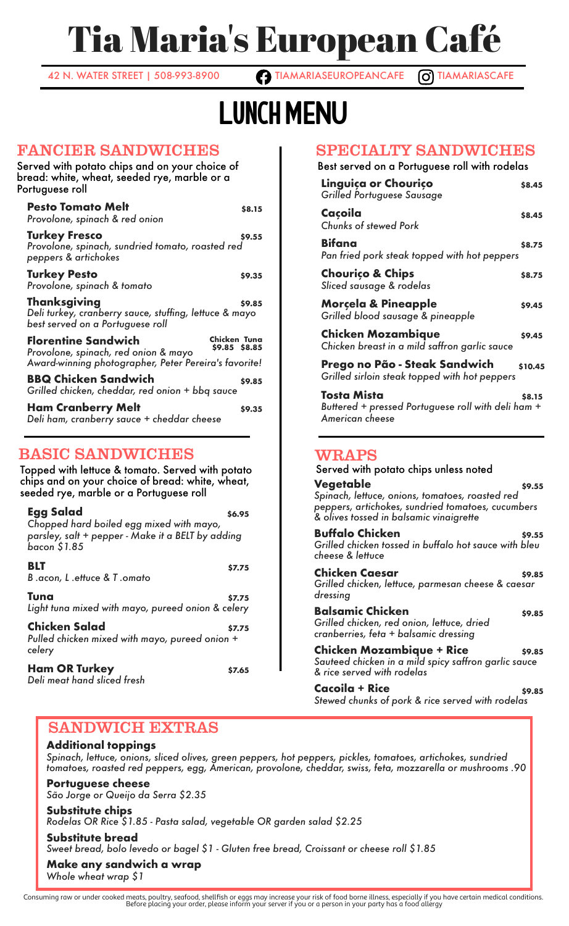# Tia Maria's European Café

42 N. WATER STREET | 508-993-8900 **TIAMARIASEUROPEANCAFE** O TIAMARIASCAFE

# Lunch MENU

### FANCIER SANDWICHES

| Served with potato chips and on your choice of<br>bread: white, wheat, seeded rye, marble or a<br>Portuguese roll                                                          |        |  |  |  |
|----------------------------------------------------------------------------------------------------------------------------------------------------------------------------|--------|--|--|--|
| <b>Pesto Tomato Melt</b><br>Provolone, spinach & red onion                                                                                                                 | \$8.15 |  |  |  |
| <b>Turkey Fresco</b><br>Provolone, spinach, sundried tomato, roasted red<br>peppers & artichokes                                                                           | \$9.55 |  |  |  |
| <b>Turkey Pesto</b><br>Provolone, spinach & tomato                                                                                                                         | \$9.35 |  |  |  |
| <b>Thanksgiving</b><br>Deli turkey, cranberry sauce, stuffing, lettuce & mayo<br>best served on a Portuguese roll                                                          | \$9.85 |  |  |  |
| Chicken Tuna<br><b>Florentine Sandwich</b><br>\$9.85 \$8.85<br>Provolone, spinach, red onion & mayo<br>Award-winning photographer, Peter Pereira's favorite!               |        |  |  |  |
| <b>BBQ Chicken Sandwich</b><br>Grilled chicken, cheddar, red onion + bbg sauce                                                                                             | \$9.85 |  |  |  |
| <b>Ham Cranberry Melt</b><br>Deli ham, cranberry sauce + cheddar cheese                                                                                                    | \$9.35 |  |  |  |
| <b>BASIC SANDWICHES</b><br>Topped with lettuce & tomato. Served with potato<br>chips and on your choice of bread: white, wheat,<br>seeded rye, marble or a Portuguese roll |        |  |  |  |
| Egg Salad<br>\$6.95<br>Chopped hard boiled egg mixed with mayo,<br>parsley, salt + pepper - Make it a BELT by adding                                                       |        |  |  |  |

## SPECIALTY SANDWICHES

### Best served on a Portuguese roll with rodelas

| Linguiça or Chouriço<br>Grilled Portuguese Sausage                                   | \$8.45  |
|--------------------------------------------------------------------------------------|---------|
| Caçoila<br><b>Chunks of stewed Pork</b>                                              | \$8.45  |
| Bifana<br>Pan fried pork steak topped with hot peppers                               | \$8.75  |
| <b>Chourico &amp; Chips</b><br>Sliced sausage & rodelas                              | \$8.75  |
| <b>Morçela &amp; Pineapple</b><br>Grilled blood sausage & pineapple                  | \$9.45  |
| <b>Chicken Mozambique</b><br>Chicken breast in a mild saffron garlic sauce           | \$9.45  |
| Prego no Pão - Steak Sandwich<br>Grilled sirloin steak topped with hot peppers       | \$10.45 |
| Tosta Mista<br>Buttered + pressed Portuguese roll with deli ham +<br>American cheese | \$8.15  |

### Served with potato chips unless noted

**Vegetable \$9.55** *Spinach, lettuce, onions, tomatoes, roasted red peppers, artichokes, sundried tomatoes, cucumbers & olives tossed in balsamic vinaigrette*

#### **Buffalo Chicken \$9.55** *Grilled chicken tossed in buffalo hot sauce with bleu cheese & lettuce*

**Chicken Caesar \$9.85** *Grilled chicken, lettuce, parmesan cheese & caesar dressing*

**Balsamic Chicken \$9.85** *Grilled chicken, red onion, lettuce, dried cranberries, feta + balsamic dressing*

**Chicken Mozambique + Rice \$9.85** *Sauteed chicken in a mild spicy saffron garlic sauce & rice served with rodelas*

**Cacoila + Rice \$9.85** *Stewed chunks of pork & rice served with rodelas*

### SANDWICH EXTRAS

**Ham OR Turkey \$7.65**

**BLT**  $\qquad \qquad$  \$7.75

**Tuna \$7.75** *Light tuna mixed with mayo, pureed onion & celery* **Chicken Salad \$7.75** *Pulled chicken mixed with mayo, pureed onion +*

### **Additional toppings**

*bacon \$1.85*

*celery*

*B .acon, L .ettuce & T .omato*

*Deli meat hand sliced fresh*

*Spinach, lettuce, onions, sliced olives, green peppers, hot peppers, pickles, tomatoes, artichokes, sundried tomatoes, roasted red peppers, egg, American, provolone, cheddar, swiss, feta, mozzarella or mushrooms .90*

**Portuguese cheese** *São Jorge or Queijo da Serra \$2.35*

**Substitute chips**

*Rodelas OR Rice \$1.85 - Pasta salad, vegetable OR garden salad \$2.25*

**Substitute bread**

*Sweet bread, bolo levedo or bagel \$1 - Gluten free bread, Croissant or cheese roll \$1.85*

**Make any sandwich a wrap**

*Whole wheat wrap \$1*

.Consuming raw or under cooked meats, poultry, seafood, shellfish or eggs may increase your risk of food borne illness, especially if you have certain medical conditions.<br>Before placing your order, please inform your serve